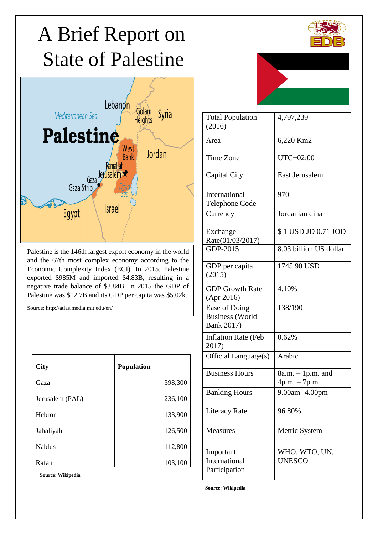# **State of Palestine** A Brief Report on



Palestine is the 146th largest export economy in the world and the 67th most complex economy according to the Economic Complexity Index (ECI). In 2015, Palestine exported \$985M and imported \$4.83B, resulting in a negative trade balance of \$3.84B. In 2015 the GDP of Palestine was \$12.7B and its GDP per capita was \$5.02k.

Source: http://atlas.media.mit.edu/en/

| <b>City</b>     | Population |
|-----------------|------------|
|                 |            |
| Gaza            | 398,300    |
|                 |            |
| Jerusalem (PAL) | 236,100    |
|                 |            |
| Hebron          | 133,900    |
|                 |            |
| Jabaliyah       | 126,500    |
|                 |            |
| <b>Nablus</b>   | 112,800    |
|                 |            |
| Rafah           | 103,100    |
|                 |            |

**Source: Wikipedia**



| <b>Total Population</b><br>(2016)                     | 4,797,239                            |  |  |  |
|-------------------------------------------------------|--------------------------------------|--|--|--|
| Area                                                  | 6,220 Km2                            |  |  |  |
| Time Zone                                             | UTC+02:00                            |  |  |  |
| Capital City                                          | <b>East Jerusalem</b>                |  |  |  |
| International<br>Telephone Code                       | 970                                  |  |  |  |
| Currency                                              | Jordanian dinar                      |  |  |  |
| Exchange<br>Rate(01/03/2017)                          | \$1 USD JD 0.71 JOD                  |  |  |  |
| GDP-2015                                              | 8.03 billion US dollar               |  |  |  |
| GDP per capita<br>(2015)                              | 1745.90 USD                          |  |  |  |
| <b>GDP Growth Rate</b><br>(Apr 2016)                  | 4.10%                                |  |  |  |
| Ease of Doing<br><b>Business</b> (World<br>Bank 2017) | 138/190                              |  |  |  |
| <b>Inflation Rate (Feb</b><br>2017)                   | 0.62%                                |  |  |  |
| Official Language(s)                                  | Arabic                               |  |  |  |
| <b>Business Hours</b>                                 | $8a.m. - 1p.m.$ and<br>4p.m. - 7p.m. |  |  |  |
| <b>Banking Hours</b>                                  | 9.00am- 4.00pm                       |  |  |  |
| <b>Literacy Rate</b>                                  | 96.80%                               |  |  |  |
| <b>Measures</b>                                       | Metric System                        |  |  |  |
| Important<br>International<br>Participation           | WHO, WTO, UN,<br><b>UNESCO</b>       |  |  |  |

**Source: Wikipedia**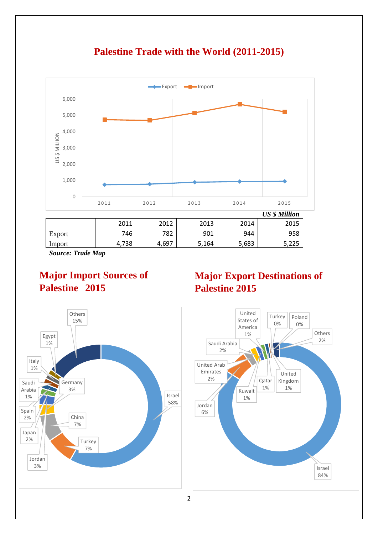

**Palestine Trade with the World (2011-2015)**

*Source: Trade Map*

## **Major Import Sources of Palestine 2015**

# **Major Export Destinations of Palestine 2015**



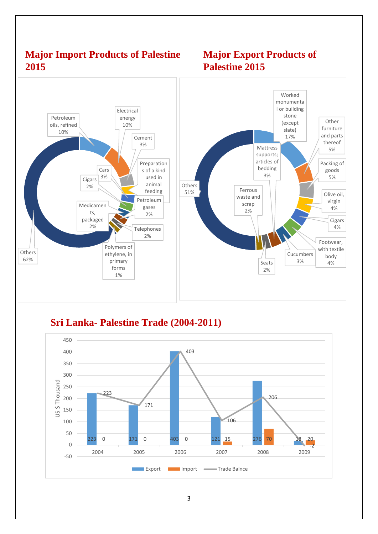## **Major Import Products of Palestine 2015**





**Sri Lanka- Palestine Trade (2004-2011)**

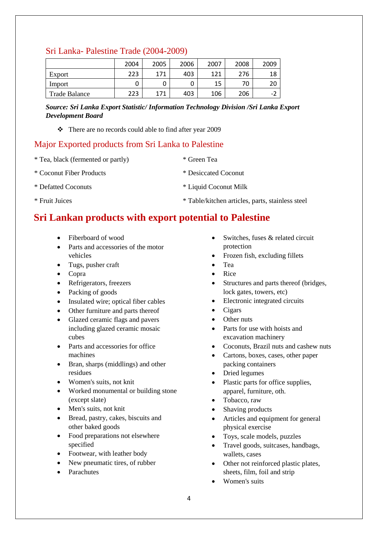#### Sri Lanka- Palestine Trade (2004-2009)

|               | 2004 | 2005 | 2006 | 2007 | 2008 | 2009 |
|---------------|------|------|------|------|------|------|
| Export        | 223  | 171  | 403  | 121  | 276  | 18   |
| Import        |      |      |      | 15   | 70   | 20   |
| Trade Balance | 223  | 171  | 403  | 106  | 206  | ΞZ   |

*Source: Sri Lanka Export Statistic/ Information Technology Division /Sri Lanka Export Development Board*

❖ There are no records could able to find after year 2009

### Major Exported products from Sri Lanka to Palestine

- \* Tea, black (fermented or partly) \* Green Tea \* Coconut Fiber Products \* Desiccated Coconut
- \* Defatted Coconuts \* Liquid Coconut Milk
- \* Fruit Juices \* Table/kitchen articles, parts, stainless steel

## **Sri Lankan products with export potential to Palestine**

- Fiberboard of wood
- Parts and accessories of the motor vehicles
- Tugs, pusher craft
- Copra
- Refrigerators, freezers
- Packing of goods
- Insulated wire; optical fiber cables
- Other furniture and parts thereof
- Glazed ceramic flags and pavers including glazed ceramic mosaic cubes
- Parts and accessories for office machines
- Bran, sharps (middlings) and other residues
- Women's suits, not knit
- Worked monumental or building stone (except slate)
- Men's suits, not knit
- Bread, pastry, cakes, biscuits and other baked goods
- Food preparations not elsewhere specified
- Footwear, with leather body
- New pneumatic tires, of rubber
- Parachutes
- Switches, fuses & related circuit protection
- Frozen fish, excluding fillets
- Tea
- Rice
- Structures and parts thereof (bridges, lock gates, towers, etc)
- Electronic integrated circuits
- Cigars
- Other nuts
- Parts for use with hoists and excavation machinery
- Coconuts, Brazil nuts and cashew nuts
- Cartons, boxes, cases, other paper packing containers
- Dried legumes
- Plastic parts for office supplies, apparel, furniture, oth.
- Tobacco, raw
- Shaving products
- Articles and equipment for general physical exercise
- Toys, scale models, puzzles
- Travel goods, suitcases, handbags, wallets, cases
- Other not reinforced plastic plates, sheets, film, foil and strip
- Women's suits
- 
- 
-